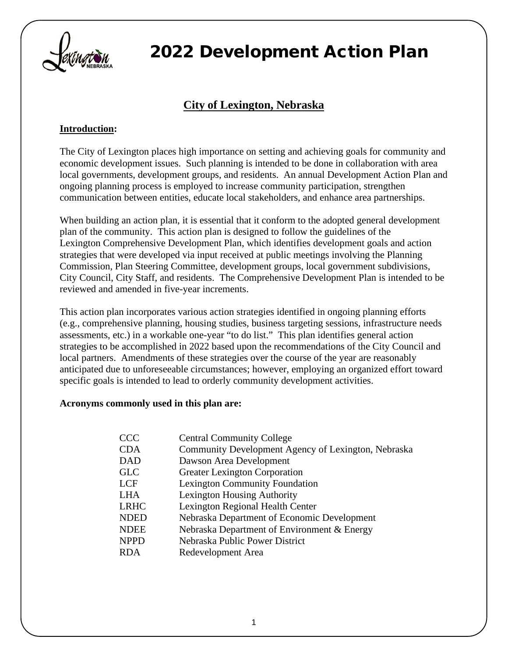

### **City of Lexington, Nebraska**

#### **Introduction:**

The City of Lexington places high importance on setting and achieving goals for community and economic development issues. Such planning is intended to be done in collaboration with area local governments, development groups, and residents. An annual Development Action Plan and ongoing planning process is employed to increase community participation, strengthen communication between entities, educate local stakeholders, and enhance area partnerships.

When building an action plan, it is essential that it conform to the adopted general development plan of the community. This action plan is designed to follow the guidelines of the Lexington Comprehensive Development Plan, which identifies development goals and action strategies that were developed via input received at public meetings involving the Planning Commission, Plan Steering Committee, development groups, local government subdivisions, City Council, City Staff, and residents. The Comprehensive Development Plan is intended to be reviewed and amended in five-year increments.

This action plan incorporates various action strategies identified in ongoing planning efforts (e.g., comprehensive planning, housing studies, business targeting sessions, infrastructure needs assessments, etc.) in a workable one-year "to do list." This plan identifies general action strategies to be accomplished in 2022 based upon the recommendations of the City Council and local partners. Amendments of these strategies over the course of the year are reasonably anticipated due to unforeseeable circumstances; however, employing an organized effort toward specific goals is intended to lead to orderly community development activities.

#### **Acronyms commonly used in this plan are:**

| <b>CCC</b>  | <b>Central Community College</b>                    |
|-------------|-----------------------------------------------------|
| <b>CDA</b>  | Community Development Agency of Lexington, Nebraska |
| <b>DAD</b>  | Dawson Area Development                             |
| <b>GLC</b>  | <b>Greater Lexington Corporation</b>                |
| <b>LCF</b>  | <b>Lexington Community Foundation</b>               |
| <b>LHA</b>  | <b>Lexington Housing Authority</b>                  |
| <b>LRHC</b> | Lexington Regional Health Center                    |
| <b>NDED</b> | Nebraska Department of Economic Development         |
| <b>NDEE</b> | Nebraska Department of Environment & Energy         |
| <b>NPPD</b> | Nebraska Public Power District                      |
| <b>RDA</b>  | Redevelopment Area                                  |
|             |                                                     |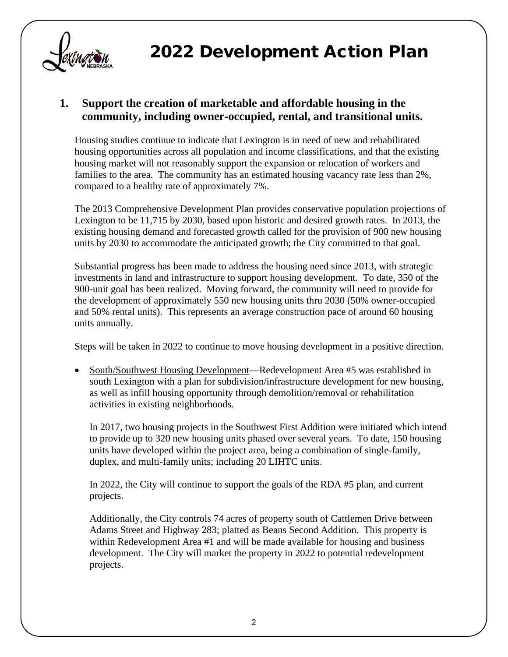

#### **1. Support the creation of marketable and affordable housing in the community, including owner-occupied, rental, and transitional units.**

Housing studies continue to indicate that Lexington is in need of new and rehabilitated housing opportunities across all population and income classifications, and that the existing housing market will not reasonably support the expansion or relocation of workers and families to the area. The community has an estimated housing vacancy rate less than 2%, compared to a healthy rate of approximately 7%.

The 2013 Comprehensive Development Plan provides conservative population projections of Lexington to be 11,715 by 2030, based upon historic and desired growth rates. In 2013, the existing housing demand and forecasted growth called for the provision of 900 new housing units by 2030 to accommodate the anticipated growth; the City committed to that goal.

Substantial progress has been made to address the housing need since 2013, with strategic investments in land and infrastructure to support housing development. To date, 350 of the 900-unit goal has been realized. Moving forward, the community will need to provide for the development of approximately 550 new housing units thru 2030 (50% owner-occupied and 50% rental units). This represents an average construction pace of around 60 housing units annually.

Steps will be taken in 2022 to continue to move housing development in a positive direction.

• South/Southwest Housing Development—Redevelopment Area #5 was established in south Lexington with a plan for subdivision/infrastructure development for new housing, as well as infill housing opportunity through demolition/removal or rehabilitation activities in existing neighborhoods.

In 2017, two housing projects in the Southwest First Addition were initiated which intend to provide up to 320 new housing units phased over several years. To date, 150 housing units have developed within the project area, being a combination of single-family, duplex, and multi-family units; including 20 LIHTC units.

In 2022, the City will continue to support the goals of the RDA #5 plan, and current projects.

Additionally, the City controls 74 acres of property south of Cattlemen Drive between Adams Street and Highway 283; platted as Beans Second Addition. This property is within Redevelopment Area #1 and will be made available for housing and business development. The City will market the property in 2022 to potential redevelopment projects.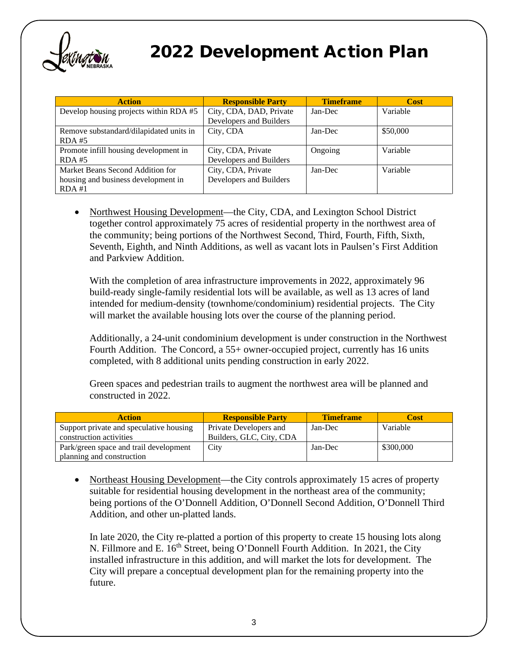

| <b>Action</b>                           | <b>Responsible Party</b> | <b>Timeframe</b> | <b>Cost</b> |
|-----------------------------------------|--------------------------|------------------|-------------|
| Develop housing projects within RDA #5  | City, CDA, DAD, Private  | Jan-Dec          | Variable    |
|                                         | Developers and Builders  |                  |             |
| Remove substandard/dilapidated units in | City, CDA                | Jan-Dec          | \$50,000    |
| $RDA$ #5                                |                          |                  |             |
| Promote infill housing development in   | City, CDA, Private       | Ongoing          | Variable    |
| $RDA$ #5                                | Developers and Builders  |                  |             |
| Market Beans Second Addition for        | City, CDA, Private       | Jan-Dec          | Variable    |
| housing and business development in     | Developers and Builders  |                  |             |
| $RDA$ #1                                |                          |                  |             |

• Northwest Housing Development—the City, CDA, and Lexington School District together control approximately 75 acres of residential property in the northwest area of the community; being portions of the Northwest Second, Third, Fourth, Fifth, Sixth, Seventh, Eighth, and Ninth Additions, as well as vacant lots in Paulsen's First Addition and Parkview Addition.

With the completion of area infrastructure improvements in 2022, approximately 96 build-ready single-family residential lots will be available, as well as 13 acres of land intended for medium-density (townhome/condominium) residential projects. The City will market the available housing lots over the course of the planning period.

Additionally, a 24-unit condominium development is under construction in the Northwest Fourth Addition. The Concord, a 55+ owner-occupied project, currently has 16 units completed, with 8 additional units pending construction in early 2022.

Green spaces and pedestrian trails to augment the northwest area will be planned and constructed in 2022.

| <b>Action</b>                                                      | <b>Responsible Party</b>                           | <b>Timeframe</b> | Cost      |
|--------------------------------------------------------------------|----------------------------------------------------|------------------|-----------|
| Support private and speculative housing<br>construction activities | Private Developers and<br>Builders, GLC, City, CDA | Jan-Dec          | Variable  |
| Park/green space and trail development                             | City                                               | Jan-Dec          | \$300,000 |
| planning and construction                                          |                                                    |                  |           |

• Northeast Housing Development—the City controls approximately 15 acres of property suitable for residential housing development in the northeast area of the community; being portions of the O'Donnell Addition, O'Donnell Second Addition, O'Donnell Third Addition, and other un-platted lands.

In late 2020, the City re-platted a portion of this property to create 15 housing lots along N. Fillmore and E. 16<sup>th</sup> Street, being O'Donnell Fourth Addition. In 2021, the City installed infrastructure in this addition, and will market the lots for development. The City will prepare a conceptual development plan for the remaining property into the future.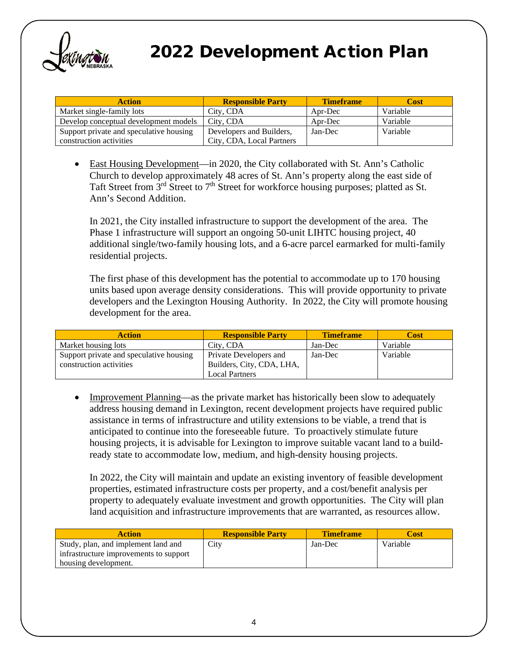

| <b>Action</b>                           | <b>Responsible Party</b>  | <b>Timeframe</b> | Cost     |
|-----------------------------------------|---------------------------|------------------|----------|
| Market single-family lots               | City, CDA                 | Apr-Dec          | Variable |
| Develop conceptual development models   | City, CDA                 | Apr-Dec          | Variable |
| Support private and speculative housing | Developers and Builders,  | Jan-Dec          | Variable |
| construction activities                 | City, CDA, Local Partners |                  |          |

• East Housing Development—in 2020, the City collaborated with St. Ann's Catholic Church to develop approximately 48 acres of St. Ann's property along the east side of Taft Street from  $3<sup>rd</sup>$  Street to  $7<sup>th</sup>$  Street for workforce housing purposes; platted as St. Ann's Second Addition.

In 2021, the City installed infrastructure to support the development of the area. The Phase 1 infrastructure will support an ongoing 50-unit LIHTC housing project, 40 additional single/two-family housing lots, and a 6-acre parcel earmarked for multi-family residential projects.

The first phase of this development has the potential to accommodate up to 170 housing units based upon average density considerations. This will provide opportunity to private developers and the Lexington Housing Authority. In 2022, the City will promote housing development for the area.

| <b>Action</b>                           | <b>Responsible Party</b>  | <b>Timeframe</b> | Cost     |
|-----------------------------------------|---------------------------|------------------|----------|
| Market housing lots                     | City, CDA                 | Jan-Dec          | Variable |
| Support private and speculative housing | Private Developers and    | Jan-Dec          | Variable |
| construction activities                 | Builders, City, CDA, LHA, |                  |          |
|                                         | <b>Local Partners</b>     |                  |          |

• Improvement Planning—as the private market has historically been slow to adequately address housing demand in Lexington, recent development projects have required public assistance in terms of infrastructure and utility extensions to be viable, a trend that is anticipated to continue into the foreseeable future. To proactively stimulate future housing projects, it is advisable for Lexington to improve suitable vacant land to a buildready state to accommodate low, medium, and high-density housing projects.

In 2022, the City will maintain and update an existing inventory of feasible development properties, estimated infrastructure costs per property, and a cost/benefit analysis per property to adequately evaluate investment and growth opportunities. The City will plan land acquisition and infrastructure improvements that are warranted, as resources allow.

| Action                                 | <b>Responsible Party</b> | <b>Timeframe</b> | Cost     |
|----------------------------------------|--------------------------|------------------|----------|
| Study, plan, and implement land and    | City                     | Jan-Dec          | Variable |
| infrastructure improvements to support |                          |                  |          |
| housing development.                   |                          |                  |          |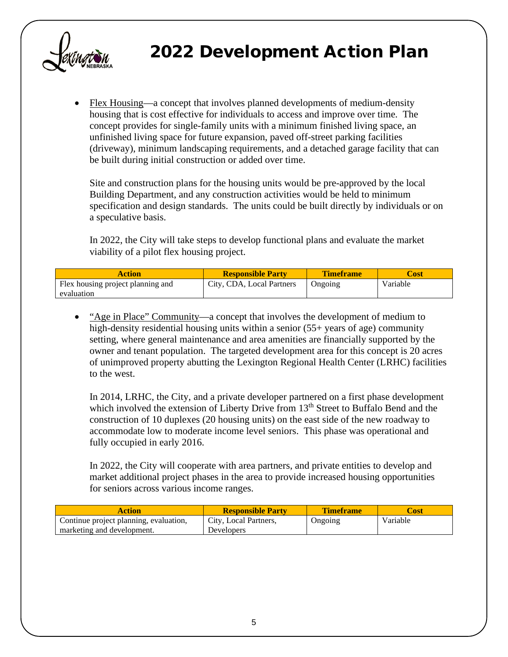

• Flex Housing—a concept that involves planned developments of medium-density housing that is cost effective for individuals to access and improve over time. The concept provides for single-family units with a minimum finished living space, an unfinished living space for future expansion, paved off-street parking facilities (driveway), minimum landscaping requirements, and a detached garage facility that can be built during initial construction or added over time.

Site and construction plans for the housing units would be pre-approved by the local Building Department, and any construction activities would be held to minimum specification and design standards. The units could be built directly by individuals or on a speculative basis.

In 2022, the City will take steps to develop functional plans and evaluate the market viability of a pilot flex housing project.

| Action                            | <b>Responsible Party</b>  | <b>Timeframe</b> | Dost     |
|-----------------------------------|---------------------------|------------------|----------|
| Flex housing project planning and | City, CDA, Local Partners | Ongoing          | Variable |
| evaluation                        |                           |                  |          |

• "Age in Place" Community—a concept that involves the development of medium to high-density residential housing units within a senior (55+ years of age) community setting, where general maintenance and area amenities are financially supported by the owner and tenant population. The targeted development area for this concept is 20 acres of unimproved property abutting the Lexington Regional Health Center (LRHC) facilities to the west.

In 2014, LRHC, the City, and a private developer partnered on a first phase development which involved the extension of Liberty Drive from  $13<sup>th</sup>$  Street to Buffalo Bend and the construction of 10 duplexes (20 housing units) on the east side of the new roadway to accommodate low to moderate income level seniors. This phase was operational and fully occupied in early 2016.

In 2022, the City will cooperate with area partners, and private entities to develop and market additional project phases in the area to provide increased housing opportunities for seniors across various income ranges.

| Action                                 | <b>Responsible Party</b> | <b>Timeframe</b> | ∑ost     |
|----------------------------------------|--------------------------|------------------|----------|
| Continue project planning, evaluation, | City, Local Partners,    | Ongoing          | Variable |
| marketing and development.             | Developers               |                  |          |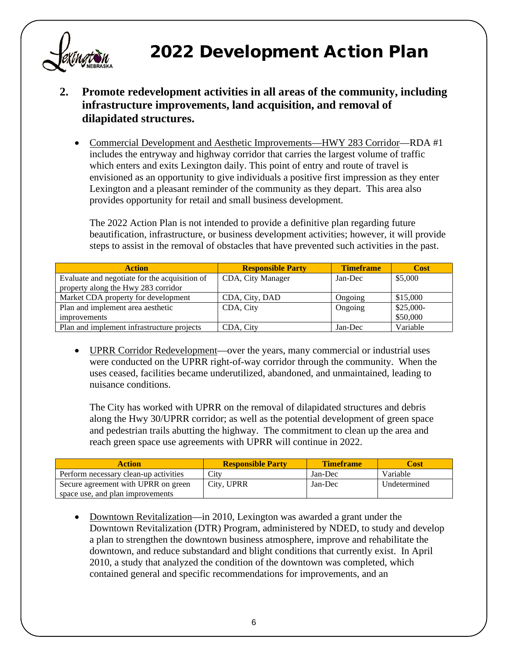

- **2. Promote redevelopment activities in all areas of the community, including infrastructure improvements, land acquisition, and removal of dilapidated structures.**
	- Commercial Development and Aesthetic Improvements—HWY 283 Corridor—RDA #1 includes the entryway and highway corridor that carries the largest volume of traffic which enters and exits Lexington daily. This point of entry and route of travel is envisioned as an opportunity to give individuals a positive first impression as they enter Lexington and a pleasant reminder of the community as they depart. This area also provides opportunity for retail and small business development.

The 2022 Action Plan is not intended to provide a definitive plan regarding future beautification, infrastructure, or business development activities; however, it will provide steps to assist in the removal of obstacles that have prevented such activities in the past.

| <b>Action</b>                                 | <b>Responsible Party</b> | <b>Timeframe</b> | <b>Cost</b> |
|-----------------------------------------------|--------------------------|------------------|-------------|
| Evaluate and negotiate for the acquisition of | CDA, City Manager        | Jan-Dec          | \$5,000     |
| property along the Hwy 283 corridor           |                          |                  |             |
| Market CDA property for development           | CDA, City, DAD           | Ongoing          | \$15,000    |
| Plan and implement area aesthetic             | CDA, City                | Ongoing          | $$25,000-$  |
| improvements                                  |                          |                  | \$50,000    |
| Plan and implement infrastructure projects    | CDA, City                | Jan-Dec          | Variable    |

• UPRR Corridor Redevelopment—over the years, many commercial or industrial uses were conducted on the UPRR right-of-way corridor through the community. When the uses ceased, facilities became underutilized, abandoned, and unmaintained, leading to nuisance conditions.

The City has worked with UPRR on the removal of dilapidated structures and debris along the Hwy 30/UPRR corridor; as well as the potential development of green space and pedestrian trails abutting the highway. The commitment to clean up the area and reach green space use agreements with UPRR will continue in 2022.

| <b>Action</b>                         | <b>Responsible Party</b> | <b>Timeframe</b> | Cost         |
|---------------------------------------|--------------------------|------------------|--------------|
| Perform necessary clean-up activities | City                     | Jan-Dec          | Variable     |
| Secure agreement with UPRR on green   | City, UPRR               | Jan-Dec          | Undetermined |
| space use, and plan improvements      |                          |                  |              |

• Downtown Revitalization—in 2010, Lexington was awarded a grant under the Downtown Revitalization (DTR) Program, administered by NDED, to study and develop a plan to strengthen the downtown business atmosphere, improve and rehabilitate the downtown, and reduce substandard and blight conditions that currently exist. In April 2010, a study that analyzed the condition of the downtown was completed, which contained general and specific recommendations for improvements, and an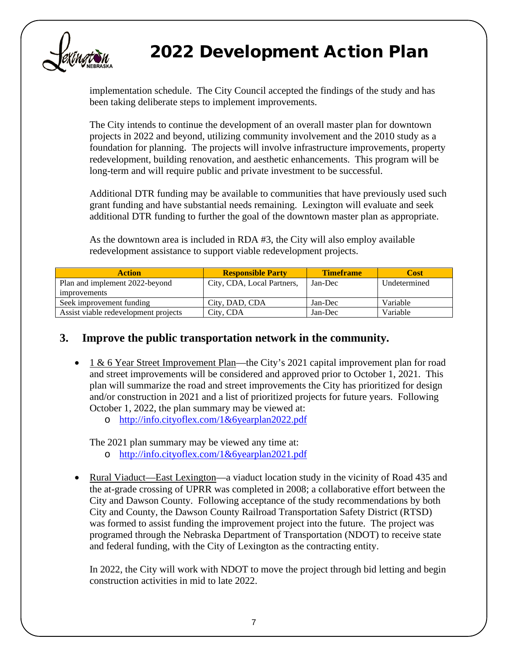

implementation schedule. The City Council accepted the findings of the study and has been taking deliberate steps to implement improvements.

The City intends to continue the development of an overall master plan for downtown projects in 2022 and beyond, utilizing community involvement and the 2010 study as a foundation for planning. The projects will involve infrastructure improvements, property redevelopment, building renovation, and aesthetic enhancements. This program will be long-term and will require public and private investment to be successful.

Additional DTR funding may be available to communities that have previously used such grant funding and have substantial needs remaining. Lexington will evaluate and seek additional DTR funding to further the goal of the downtown master plan as appropriate.

As the downtown area is included in RDA #3, the City will also employ available redevelopment assistance to support viable redevelopment projects.

| <b>Action</b>                        | <b>Responsible Party</b>   | <b>Timeframe</b> | Cost         |
|--------------------------------------|----------------------------|------------------|--------------|
| Plan and implement 2022-beyond       | City, CDA, Local Partners, | Jan-Dec          | Undetermined |
| improvements                         |                            |                  |              |
| Seek improvement funding             | City, DAD, CDA             | Jan-Dec          | Variable     |
| Assist viable redevelopment projects | City, CDA                  | Jan-Dec          | Variable     |

#### **3. Improve the public transportation network in the community.**

- 1 & 6 Year Street Improvement Plan—the City's 2021 capital improvement plan for road and street improvements will be considered and approved prior to October 1, 2021. This plan will summarize the road and street improvements the City has prioritized for design and/or construction in 2021 and a list of prioritized projects for future years. Following October 1, 2022, the plan summary may be viewed at:
	- o <http://info.cityoflex.com/1&6yearplan2022.pdf>

The 2021 plan summary may be viewed any time at:

- o <http://info.cityoflex.com/1&6yearplan2021.pdf>
- Rural Viaduct—East Lexington—a viaduct location study in the vicinity of Road 435 and the at-grade crossing of UPRR was completed in 2008; a collaborative effort between the City and Dawson County. Following acceptance of the study recommendations by both City and County, the Dawson County Railroad Transportation Safety District (RTSD) was formed to assist funding the improvement project into the future. The project was programed through the Nebraska Department of Transportation (NDOT) to receive state and federal funding, with the City of Lexington as the contracting entity.

In 2022, the City will work with NDOT to move the project through bid letting and begin construction activities in mid to late 2022.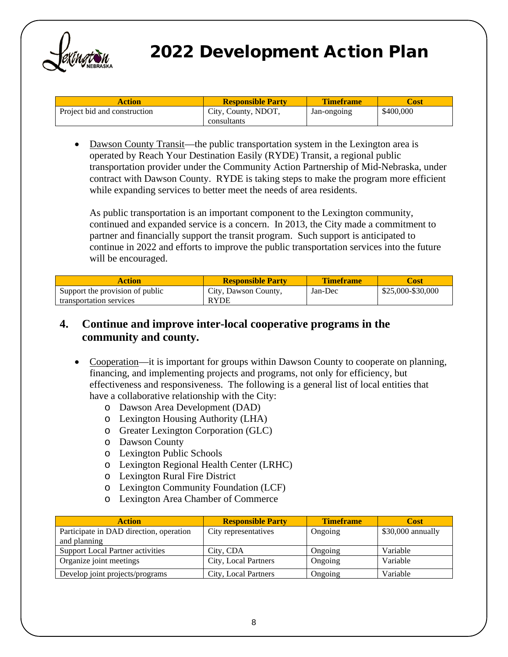

| Action                       | <b>Responsible Party</b> | <b>Timeframe</b> | ∠ost      |
|------------------------------|--------------------------|------------------|-----------|
| Project bid and construction | City, County, NDOT,      | Jan-ongoing      | \$400,000 |
|                              | consultants              |                  |           |

• Dawson County Transit—the public transportation system in the Lexington area is operated by Reach Your Destination Easily (RYDE) Transit, a regional public transportation provider under the Community Action Partnership of Mid-Nebraska, under contract with Dawson County. RYDE is taking steps to make the program more efficient while expanding services to better meet the needs of area residents.

As public transportation is an important component to the Lexington community, continued and expanded service is a concern. In 2013, the City made a commitment to partner and financially support the transit program. Such support is anticipated to continue in 2022 and efforts to improve the public transportation services into the future will be encouraged.

| <b>Action</b>                   | <b>Responsible Party</b> | <b>Timeframe</b> | <b>Cost</b>       |
|---------------------------------|--------------------------|------------------|-------------------|
| Support the provision of public | City, Dawson County,     | Jan-Dec          | \$25,000-\$30,000 |
| transportation services         | <b>RYDE</b>              |                  |                   |

#### **4. Continue and improve inter-local cooperative programs in the community and county.**

- Cooperation—it is important for groups within Dawson County to cooperate on planning, financing, and implementing projects and programs, not only for efficiency, but effectiveness and responsiveness. The following is a general list of local entities that have a collaborative relationship with the City:
	- o Dawson Area Development (DAD)
	- o Lexington Housing Authority (LHA)
	- o Greater Lexington Corporation (GLC)
	- o Dawson County
	- o Lexington Public Schools
	- o Lexington Regional Health Center (LRHC)
	- o Lexington Rural Fire District
	- o Lexington Community Foundation (LCF)
	- o Lexington Area Chamber of Commerce

| <b>Action</b>                                           | <b>Responsible Party</b> | <b>Timeframe</b> | <b>Cost</b>       |
|---------------------------------------------------------|--------------------------|------------------|-------------------|
| Participate in DAD direction, operation<br>and planning | City representatives     | Ongoing          | \$30,000 annually |
| <b>Support Local Partner activities</b>                 | City, CDA                | Ongoing          | Variable          |
| Organize joint meetings                                 | City, Local Partners     | Ongoing          | Variable          |
| Develop joint projects/programs                         | City, Local Partners     | Ongoing          | Variable          |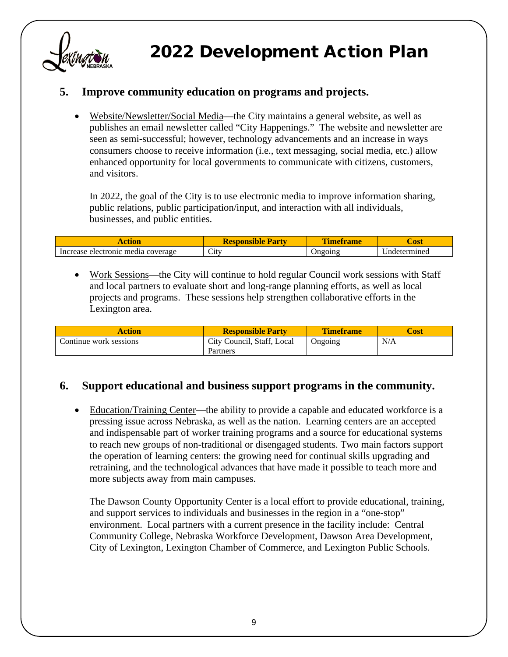

### **5. Improve community education on programs and projects.**

• Website/Newsletter/Social Media—the City maintains a general website, as well as publishes an email newsletter called "City Happenings." The website and newsletter are seen as semi-successful; however, technology advancements and an increase in ways consumers choose to receive information (i.e., text messaging, social media, etc.) allow enhanced opportunity for local governments to communicate with citizens, customers, and visitors.

In 2022, the goal of the City is to use electronic media to improve information sharing, public relations, public participation/input, and interaction with all individuals, businesses, and public entities.

|                                       | <b>Party</b><br>Responsible       | etram          | <b>JUST</b>  |
|---------------------------------------|-----------------------------------|----------------|--------------|
| electronic media coverage<br>Increase | $\sim$<br>$\mathsf{C}\mathrm{IV}$ | <b>Jngoing</b> | Indetermined |

• Work Sessions—the City will continue to hold regular Council work sessions with Staff and local partners to evaluate short and long-range planning efforts, as well as local projects and programs. These sessions help strengthen collaborative efforts in the Lexington area.

| Action                 | <b>Responsible Party</b>   | <b>Timeframe</b> | `ost |
|------------------------|----------------------------|------------------|------|
| Continue work sessions | City Council, Staff, Local | Ongoing          | N/A  |
|                        | Partners                   |                  |      |

#### **6. Support educational and business support programs in the community.**

• Education/Training Center—the ability to provide a capable and educated workforce is a pressing issue across Nebraska, as well as the nation. Learning centers are an accepted and indispensable part of worker training programs and a source for educational systems to reach new groups of non-traditional or disengaged students. Two main factors support the operation of learning centers: the growing need for continual skills upgrading and retraining, and the technological advances that have made it possible to teach more and more subjects away from main campuses.

The Dawson County Opportunity Center is a local effort to provide educational, training, and support services to individuals and businesses in the region in a "one-stop" environment. Local partners with a current presence in the facility include: Central Community College, Nebraska Workforce Development, Dawson Area Development, City of Lexington, Lexington Chamber of Commerce, and Lexington Public Schools.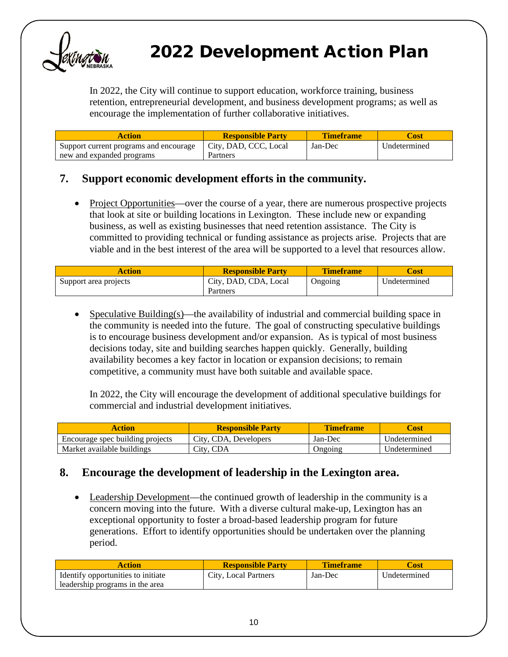

In 2022, the City will continue to support education, workforce training, business retention, entrepreneurial development, and business development programs; as well as encourage the implementation of further collaborative initiatives.

| Action                                 | <b>Responsible Party</b> | <b>Timeframe</b> | `ost         |
|----------------------------------------|--------------------------|------------------|--------------|
| Support current programs and encourage | City, DAD, CCC, Local    | Jan-Dec          | Undetermined |
| new and expanded programs              | Partners                 |                  |              |

#### **7. Support economic development efforts in the community.**

• Project Opportunities—over the course of a year, there are numerous prospective projects that look at site or building locations in Lexington. These include new or expanding business, as well as existing businesses that need retention assistance. The City is committed to providing technical or funding assistance as projects arise. Projects that are viable and in the best interest of the area will be supported to a level that resources allow.

| Action                | <b>Responsible Party</b> | <b>Timeframe</b> | <b>Cost</b>  |
|-----------------------|--------------------------|------------------|--------------|
| Support area projects | City, DAD, CDA, Local    | Ongoing          | Undetermined |
|                       | Partners                 |                  |              |

• Speculative Building(s)—the availability of industrial and commercial building space in the community is needed into the future. The goal of constructing speculative buildings is to encourage business development and/or expansion. As is typical of most business decisions today, site and building searches happen quickly. Generally, building availability becomes a key factor in location or expansion decisions; to remain competitive, a community must have both suitable and available space.

In 2022, the City will encourage the development of additional speculative buildings for commercial and industrial development initiatives.

| Action                           | <b>Responsible Party</b> | Timeframe | Dost         |
|----------------------------------|--------------------------|-----------|--------------|
| Encourage spec building projects | City, CDA, Developers    | Jan-Dec   | Undetermined |
| Market available buildings       | City, CDA                | Jngoing   | Undetermined |

#### **8. Encourage the development of leadership in the Lexington area.**

• Leadership Development—the continued growth of leadership in the community is a concern moving into the future. With a diverse cultural make-up, Lexington has an exceptional opportunity to foster a broad-based leadership program for future generations. Effort to identify opportunities should be undertaken over the planning period.

| Action                             | <b>Responsible Party</b> | Timeframe | ∴ost         |
|------------------------------------|--------------------------|-----------|--------------|
| Identify opportunities to initiate | City, Local Partners     | Jan-Dec   | Undetermined |
| leadership programs in the area    |                          |           |              |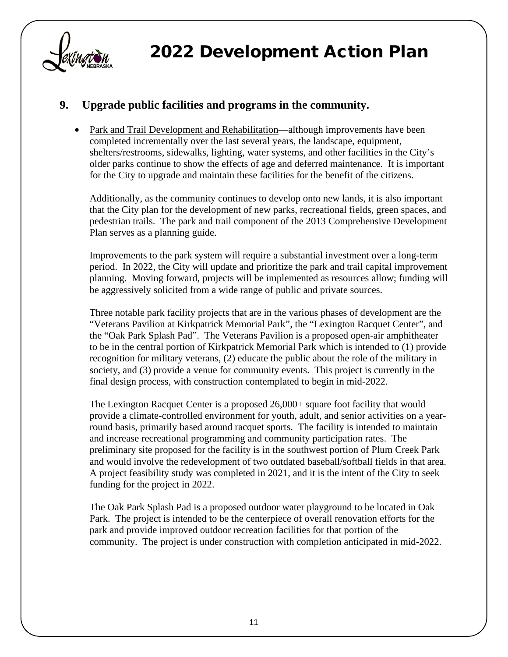

### **9. Upgrade public facilities and programs in the community.**

• Park and Trail Development and Rehabilitation—although improvements have been completed incrementally over the last several years, the landscape, equipment, shelters/restrooms, sidewalks, lighting, water systems, and other facilities in the City's older parks continue to show the effects of age and deferred maintenance. It is important for the City to upgrade and maintain these facilities for the benefit of the citizens.

Additionally, as the community continues to develop onto new lands, it is also important that the City plan for the development of new parks, recreational fields, green spaces, and pedestrian trails. The park and trail component of the 2013 Comprehensive Development Plan serves as a planning guide.

Improvements to the park system will require a substantial investment over a long-term period. In 2022, the City will update and prioritize the park and trail capital improvement planning. Moving forward, projects will be implemented as resources allow; funding will be aggressively solicited from a wide range of public and private sources.

Three notable park facility projects that are in the various phases of development are the "Veterans Pavilion at Kirkpatrick Memorial Park", the "Lexington Racquet Center", and the "Oak Park Splash Pad". The Veterans Pavilion is a proposed open-air amphitheater to be in the central portion of Kirkpatrick Memorial Park which is intended to (1) provide recognition for military veterans, (2) educate the public about the role of the military in society, and (3) provide a venue for community events. This project is currently in the final design process, with construction contemplated to begin in mid-2022.

The Lexington Racquet Center is a proposed 26,000+ square foot facility that would provide a climate-controlled environment for youth, adult, and senior activities on a yearround basis, primarily based around racquet sports. The facility is intended to maintain and increase recreational programming and community participation rates. The preliminary site proposed for the facility is in the southwest portion of Plum Creek Park and would involve the redevelopment of two outdated baseball/softball fields in that area. A project feasibility study was completed in 2021, and it is the intent of the City to seek funding for the project in 2022.

The Oak Park Splash Pad is a proposed outdoor water playground to be located in Oak Park. The project is intended to be the centerpiece of overall renovation efforts for the park and provide improved outdoor recreation facilities for that portion of the community. The project is under construction with completion anticipated in mid-2022.